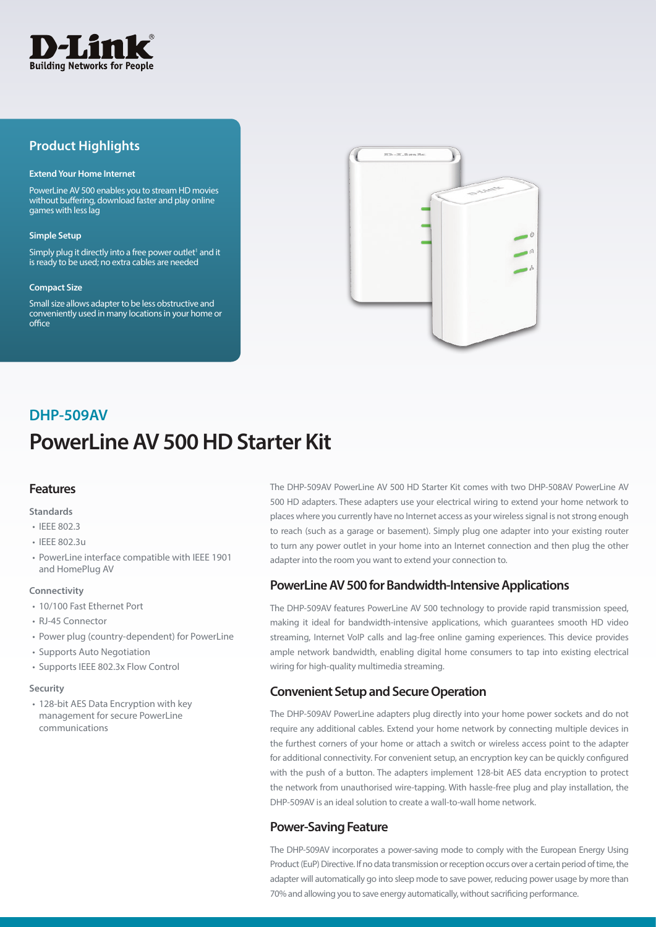

## **Product Highlights**

#### **Extend Your Home Internet**

PowerLine AV 500 enables you to stream HD movies without buffering, download faster and play online games with less lag

#### **Simple Setup**

Simply plug it directly into a free power outlet<sup>1</sup> and it is ready to be used; no extra cables are needed

#### **Compact Size**

Small size allows adapter to be less obstructive and conveniently used in many locations in your home or office



# **PowerLine AV 500 HD Starter Kit DHP-509AV**

## **Features**

#### **Standards**

- IEEE 802.3
- IEEE 802.3u
- PowerLine interface compatible with IEEE 1901 and HomePlug AV

#### **Connectivity**

- 10/100 Fast Ethernet Port
- RJ-45 Connector
- Power plug (country-dependent) for PowerLine
- Supports Auto Negotiation
- Supports IEEE 802.3x Flow Control

#### **Security**

• 128-bit AES Data Encryption with key management for secure PowerLine communications

The DHP-509AV PowerLine AV 500 HD Starter Kit comes with two DHP-508AV PowerLine AV 500 HD adapters. These adapters use your electrical wiring to extend your home network to places where you currently have no Internet access as your wireless signal is not strong enough to reach (such as a garage or basement). Simply plug one adapter into your existing router to turn any power outlet in your home into an Internet connection and then plug the other adapter into the room you want to extend your connection to.

## **PowerLine AV 500 for Bandwidth-Intensive Applications**

The DHP-509AV features PowerLine AV 500 technology to provide rapid transmission speed, making it ideal for bandwidth-intensive applications, which guarantees smooth HD video streaming, Internet VoIP calls and lag-free online gaming experiences. This device provides ample network bandwidth, enabling digital home consumers to tap into existing electrical wiring for high-quality multimedia streaming.

## **Convenient Setup and Secure Operation**

The DHP-509AV PowerLine adapters plug directly into your home power sockets and do not require any additional cables. Extend your home network by connecting multiple devices in the furthest corners of your home or attach a switch or wireless access point to the adapter for additional connectivity. For convenient setup, an encryption key can be quickly configured with the push of a button. The adapters implement 128-bit AES data encryption to protect the network from unauthorised wire-tapping. With hassle-free plug and play installation, the DHP-509AV is an ideal solution to create a wall-to-wall home network.

## **Power-Saving Feature**

The DHP-509AV incorporates a power-saving mode to comply with the European Energy Using Product (EuP) Directive. If no data transmission or reception occurs over a certain period of time, the adapter will automatically go into sleep mode to save power, reducing power usage by more than 70% and allowing you to save energy automatically, without sacrificing performance.